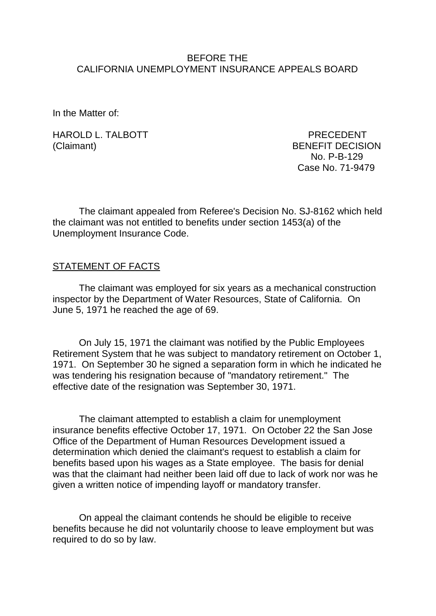### BEFORE THE CALIFORNIA UNEMPLOYMENT INSURANCE APPEALS BOARD

In the Matter of:

HAROLD L. TALBOTT PRECEDENT (Claimant) BENEFIT DECISION

 No. P-B-129 Case No. 71-9479

The claimant appealed from Referee's Decision No. SJ-8162 which held the claimant was not entitled to benefits under section 1453(a) of the Unemployment Insurance Code.

#### STATEMENT OF FACTS

The claimant was employed for six years as a mechanical construction inspector by the Department of Water Resources, State of California. On June 5, 1971 he reached the age of 69.

On July 15, 1971 the claimant was notified by the Public Employees Retirement System that he was subject to mandatory retirement on October 1, 1971. On September 30 he signed a separation form in which he indicated he was tendering his resignation because of "mandatory retirement." The effective date of the resignation was September 30, 1971.

The claimant attempted to establish a claim for unemployment insurance benefits effective October 17, 1971. On October 22 the San Jose Office of the Department of Human Resources Development issued a determination which denied the claimant's request to establish a claim for benefits based upon his wages as a State employee. The basis for denial was that the claimant had neither been laid off due to lack of work nor was he given a written notice of impending layoff or mandatory transfer.

On appeal the claimant contends he should be eligible to receive benefits because he did not voluntarily choose to leave employment but was required to do so by law.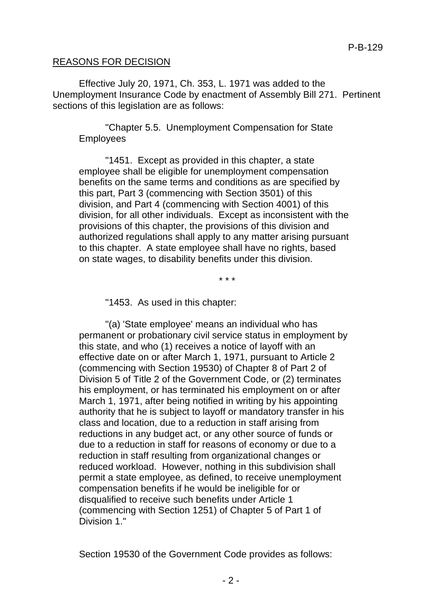#### REASONS FOR DECISION

Effective July 20, 1971, Ch. 353, L. 1971 was added to the Unemployment Insurance Code by enactment of Assembly Bill 271. Pertinent sections of this legislation are as follows:

"Chapter 5.5. Unemployment Compensation for State Employees

"1451. Except as provided in this chapter, a state employee shall be eligible for unemployment compensation benefits on the same terms and conditions as are specified by this part, Part 3 (commencing with Section 3501) of this division, and Part 4 (commencing with Section 4001) of this division, for all other individuals. Except as inconsistent with the provisions of this chapter, the provisions of this division and authorized regulations shall apply to any matter arising pursuant to this chapter. A state employee shall have no rights, based on state wages, to disability benefits under this division.

\* \* \*

"1453. As used in this chapter:

"(a) 'State employee' means an individual who has permanent or probationary civil service status in employment by this state, and who (1) receives a notice of layoff with an effective date on or after March 1, 1971, pursuant to Article 2 (commencing with Section 19530) of Chapter 8 of Part 2 of Division 5 of Title 2 of the Government Code, or (2) terminates his employment, or has terminated his employment on or after March 1, 1971, after being notified in writing by his appointing authority that he is subject to layoff or mandatory transfer in his class and location, due to a reduction in staff arising from reductions in any budget act, or any other source of funds or due to a reduction in staff for reasons of economy or due to a reduction in staff resulting from organizational changes or reduced workload. However, nothing in this subdivision shall permit a state employee, as defined, to receive unemployment compensation benefits if he would be ineligible for or disqualified to receive such benefits under Article 1 (commencing with Section 1251) of Chapter 5 of Part 1 of Division 1."

Section 19530 of the Government Code provides as follows: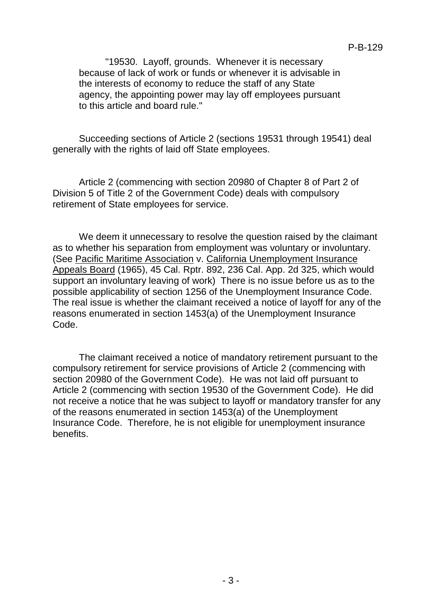"19530. Layoff, grounds. Whenever it is necessary because of lack of work or funds or whenever it is advisable in the interests of economy to reduce the staff of any State agency, the appointing power may lay off employees pursuant to this article and board rule."

Succeeding sections of Article 2 (sections 19531 through 19541) deal generally with the rights of laid off State employees.

Article 2 (commencing with section 20980 of Chapter 8 of Part 2 of Division 5 of Title 2 of the Government Code) deals with compulsory retirement of State employees for service.

We deem it unnecessary to resolve the question raised by the claimant as to whether his separation from employment was voluntary or involuntary. (See Pacific Maritime Association v. California Unemployment Insurance Appeals Board (1965), 45 Cal. Rptr. 892, 236 Cal. App. 2d 325, which would support an involuntary leaving of work) There is no issue before us as to the possible applicability of section 1256 of the Unemployment Insurance Code. The real issue is whether the claimant received a notice of layoff for any of the reasons enumerated in section 1453(a) of the Unemployment Insurance Code.

The claimant received a notice of mandatory retirement pursuant to the compulsory retirement for service provisions of Article 2 (commencing with section 20980 of the Government Code). He was not laid off pursuant to Article 2 (commencing with section 19530 of the Government Code). He did not receive a notice that he was subject to layoff or mandatory transfer for any of the reasons enumerated in section 1453(a) of the Unemployment Insurance Code. Therefore, he is not eligible for unemployment insurance benefits.